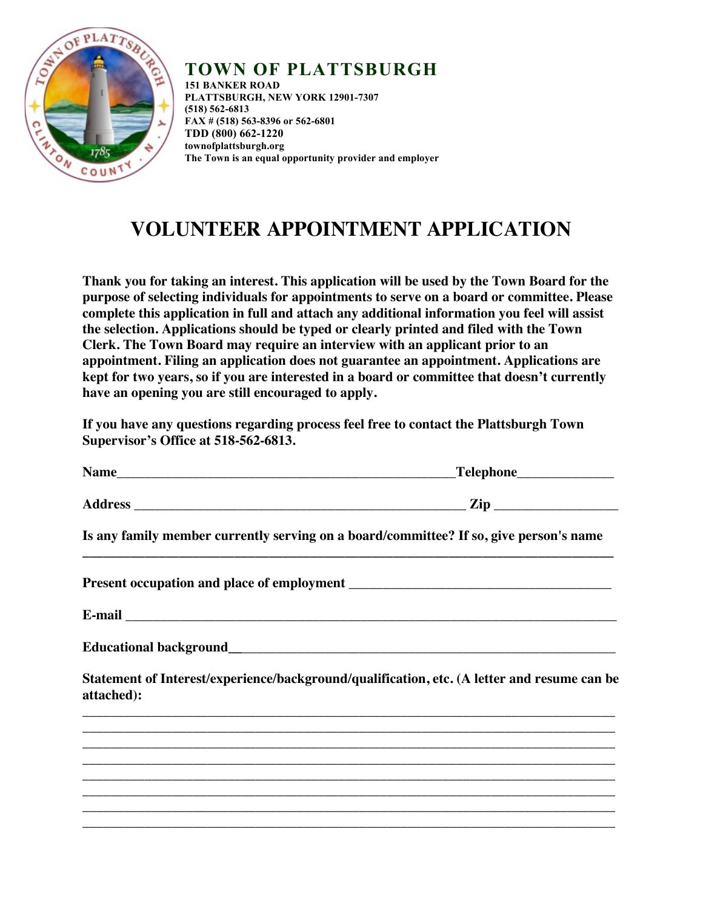

## **TOWN OF PLATTSBURGH**

**151 BANKER ROAD PLATTSBURGH, NEW YORK 12901-7307 (518) 562-6813 FAX # (518) 563-8396 or 562-6801 TDD (800) 662-1220 townofplattsburgh.org The Town is an equal opportunity provider and employer**

## **VOLUNTEER APPOINTMENT APPLICATION**

**Thank you for taking an interest. This application will be used by the Town Board for the purpose of selecting individuals for appointments to serve on a board or committee. Please complete this application in full and attach any additional information you feel will assist the selection. Applications should be typed or clearly printed and filed with the Town Clerk. The Town Board may require an interview with an applicant prior to an appointment. Filing an application does not guarantee an appointment. Applications are kept for two years, so if you are interested in a board or committee that doesn't currently have an opening you are still encouraged to apply.** 

**If you have any questions regarding process feel free to contact the Plattsburgh Town Supervisor's Office at 518-562-6813.** 

|            | _Telephone________________                                                                                                                                             |
|------------|------------------------------------------------------------------------------------------------------------------------------------------------------------------------|
|            |                                                                                                                                                                        |
|            | Is any family member currently serving on a board/committee? If so, give person's name                                                                                 |
|            |                                                                                                                                                                        |
|            |                                                                                                                                                                        |
|            |                                                                                                                                                                        |
| attached): | Statement of Interest/experience/background/qualification, etc. (A letter and resume can be                                                                            |
|            |                                                                                                                                                                        |
|            | ,我们也不能在这里的时候,我们也不能在这里的时候,我们也不能在这里的时候,我们也不能会在这里的时候,我们也不能会在这里的时候,我们也不能会在这里的时候,我们也不                                                                                       |
|            | ,我们也不能会有什么。""我们的人,我们也不能会有什么?""我们的人,我们也不能会有什么?""我们的人,我们也不能会有什么?""我们的人,我们也不能会有什么?""<br>,我们也不能在这里的人,我们也不能在这里的人,我们也不能在这里的人,我们也不能在这里的人,我们也不能在这里的人,我们也不能在这里的人,我们也不能在这里的人,我们也 |
|            |                                                                                                                                                                        |